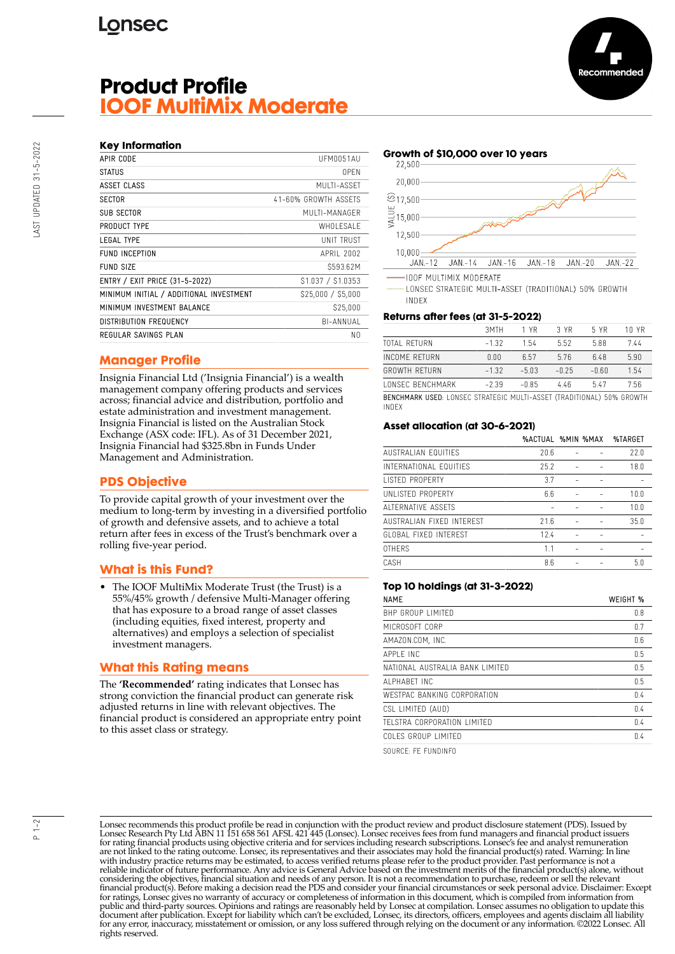# **Lonsec**

## **Product Profile IOOF MultiMix Moderate**

| APIR CODE                               | UFM0051AU            |
|-----------------------------------------|----------------------|
| <b>STATUS</b>                           | <b>OPFN</b>          |
| ASSET CLASS                             | MUITI-ASSFT          |
| <b>SECTOR</b>                           | 41-60% GROWTH ASSFTS |
| <b>SUB SECTOR</b>                       | MUITI-MANAGER        |
| PRODUCT TYPE                            | WHOLESALE            |
| IFGAI TYPF                              | <b>UNIT TRUST</b>    |
| <b>FUND INCEPTION</b>                   | APRII 2002           |
| <b>FUND SIZE</b>                        | S593.62M             |
| ENTRY / EXIT PRICE (31-5-2022)          | \$1.037 / \$1.0353   |
| MINIMUM INITIAL / ADDITIONAL INVESTMENT | \$25,000 / \$5,000   |
| MINIMUM INVESTMENT BALANCE              | \$25,000             |
| <b>DISTRIBUTION FREQUENCY</b>           | BI-ANNUAL            |
| REGULAR SAVINGS PLAN                    | N0                   |
|                                         |                      |

#### **Manager Profile**

Insignia Financial Ltd ('Insignia Financial') is a wealth management company offering products and services across; financial advice and distribution, portfolio and estate administration and investment management. Insignia Financial is listed on the Australian Stock Exchange (ASX code: IFL). As of 31 December 2021, Insignia Financial had \$325.8bn in Funds Under Management and Administration.

#### **PDS Objective**

To provide capital growth of your investment over the medium to long-term by investing in a diversified portfolio of growth and defensive assets, and to achieve a total return after fees in excess of the Trust's benchmark over a rolling five-year period.

#### **What is this Fund?**

• The IOOF MultiMix Moderate Trust (the Trust) is a 55%/45% growth / defensive Multi-Manager offering that has exposure to a broad range of asset classes (including equities, fixed interest, property and alternatives) and employs a selection of specialist investment managers.

#### **What this Rating means**

The **'Recommended'** rating indicates that Lonsec has strong conviction the financial product can generate risk adjusted returns in line with relevant objectives. The financial product is considered an appropriate entry point to this asset class or strategy.

#### **Growth of \$10,000 over 10 years**



LONSEC STRATEGIC MULTI-ASSET (TRADITIONAL) 50% GROWTH

### **Returns after fees (at 31-5-2022)**

|                                                                       | 3MTH    | 1 YR    | 3 YR    | 5 YR    | 10 YR |
|-----------------------------------------------------------------------|---------|---------|---------|---------|-------|
| TOTAL RETURN                                                          | $-1.32$ | 1.54    | 5.52    | 5.88    | 7.44  |
| INCOME RETURN                                                         | 0.00    | ճ 57    | 576     | 6.48    | 5.90  |
| <b>GROWTH RETURN</b>                                                  | $-1.32$ | $-503$  | $-0.25$ | $-0.60$ | 1.54  |
| <b><i>LONSEC BENCHMARK</i></b>                                        | $-2.39$ | $-0.85$ | 4.46    | 547     | 756   |
| BENCHMARK USED: LONSEC STRATEGIC MULTI-ASSET (TRADITIONAL) 50% GROWTH |         |         |         |         |       |

### **Asset allocation (at 30-6-2021)**

INDEX

**INDEX** 

|                           | %ACTUAL %MIN %MAX |  | %TARGET |
|---------------------------|-------------------|--|---------|
| AUSTRALIAN FOUITIES       | 20.6              |  | 22.0    |
| INTERNATIONAL EQUITIES    | 25.2              |  | 18.0    |
| <b>LISTED PROPERTY</b>    | 3.7               |  |         |
| UNI ISTED PROPERTY        | 6.6               |  | 10.0    |
| ALTERNATIVE ASSETS        |                   |  | 10.0    |
| AUSTRALIAN FIXED INTEREST | 21.6              |  | 35.0    |
| GLOBAL FIXED INTEREST     | 124               |  |         |
| <b>OTHERS</b>             | 11                |  |         |
| CASH                      | 86                |  | 5 N     |

#### **Top 10 holdings (at 31-3-2022)**

| <b>NAME</b>                     | WEIGHT % |
|---------------------------------|----------|
| BHP GROUP LIMITED               | 0.8      |
| MICROSOFT CORP                  | 0.7      |
| AMAZON.COM, INC.                | 0.6      |
| APPI F INC                      | 0.5      |
| NATIONAL AUSTRALIA BANK LIMITED | 0.5      |
| AI PHARFT INC                   | 0.5      |
| WESTPAC BANKING CORPORATION     | 0.4      |
| CSL LIMITED (AUD)               | 0.4      |
| TELSTRA CORPORATION LIMITED     | 0.4      |
| COLES GROUP LIMITED             | 0.4      |

SOURCE: FE FUNDINFO

Lonsec recommends this product profile be read in conjunction with the product review and product disclosure statement (PDS). Issued by Lonsec Research Pty Ltd ABN 11 151 658 561 AFSL 421 445 (Lonsec). Lonsec receives fees from fund managers and financial product issuers for rating financial products using objective criteria and for services including research subscriptions. Lonsec's fee and analyst remuneration are not linked to the rating outcome. Lonsec, its representatives and their associates may hold the financial product(s) rated. Warning: In line with industry practice returns may be estimated, to access verified returns please refer to the product provider. Past performance is not a reliable indicator of future performance. Any advice is General Advice based on the investment merits of the financial product(s) alone, without considering the objectives, financial situation and needs of any person. It is not a recommendation to purchase, redeem or sell the relevant<br>financial product(s). Before making a decision read the PDS and consider your fin public and third-party sources. Opinions and ratings are reasonably held by Lonsec at compilation. Lonsec assumes no obligation to update this document after publication. Except for liability which can't be excluded, Lonsec, its directors, officers, employees and agents disclaim all liability for any error, inaccuracy, misstatement or omission, or any loss suffered through relying on the document or any information. ©2022 Lonsec. All rights reserved.